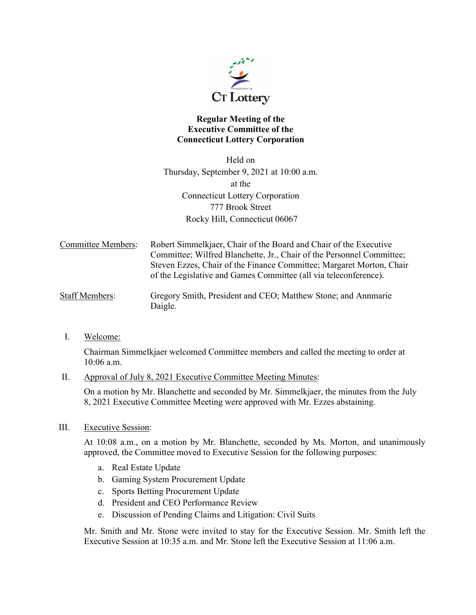

## **Regular Meeting of the Executive Committee of the Connecticut Lottery Corporation**

Held on Thursday, September 9, 2021 at 10:00 a.m. at the Connecticut Lottery Corporation 777 Brook Street Rocky Hill, Connecticut 06067

Committee Members: Robert Simmelkjaer, Chair of the Board and Chair of the Executive Committee; Wilfred Blanchette, Jr., Chair of the Personnel Committee; Steven Ezzes, Chair of the Finance Committee; Margaret Morton, Chair of the Legislative and Games Committee (all via teleconference).

- Staff Members: Gregory Smith, President and CEO; Matthew Stone; and Annmarie Daigle.
- I. Welcome:

Chairman Simmelkjaer welcomed Committee members and called the meeting to order at 10:06 a.m.

II. Approval of July 8, 2021 Executive Committee Meeting Minutes:

On a motion by Mr. Blanchette and seconded by Mr. Simmelkjaer, the minutes from the July 8, 2021 Executive Committee Meeting were approved with Mr. Ezzes abstaining.

III. Executive Session:

At 10:08 a.m., on a motion by Mr. Blanchette, seconded by Ms. Morton, and unanimously approved, the Committee moved to Executive Session for the following purposes:

- a. Real Estate Update
- b. Gaming System Procurement Update
- c. Sports Betting Procurement Update
- d. President and CEO Performance Review
- e. Discussion of Pending Claims and Litigation: Civil Suits

Mr. Smith and Mr. Stone were invited to stay for the Executive Session. Mr. Smith left the Executive Session at 10:35 a.m. and Mr. Stone left the Executive Session at 11:06 a.m.